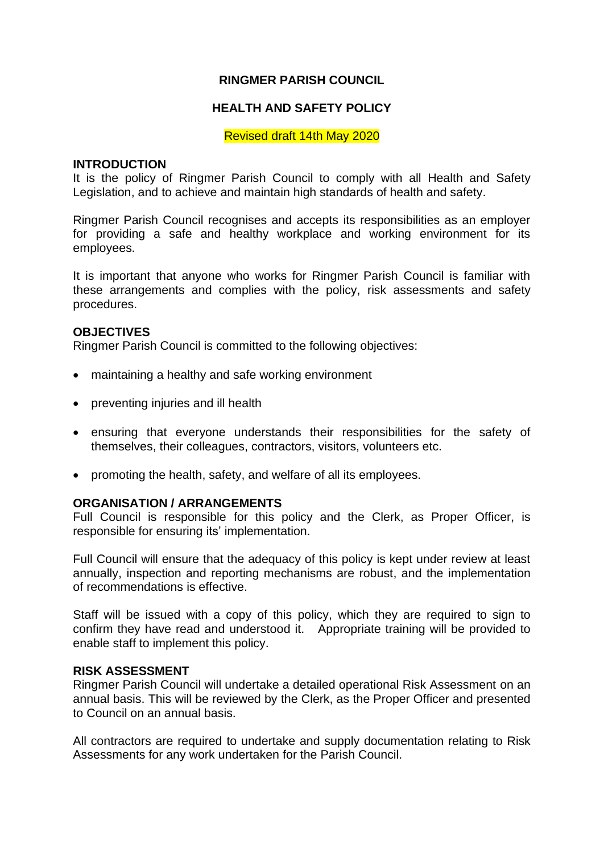## **RINGMER PARISH COUNCIL**

## **HEALTH AND SAFETY POLICY**

Revised draft 14th May 2020

#### **INTRODUCTION**

It is the policy of Ringmer Parish Council to comply with all Health and Safety Legislation, and to achieve and maintain high standards of health and safety.

Ringmer Parish Council recognises and accepts its responsibilities as an employer for providing a safe and healthy workplace and working environment for its employees.

It is important that anyone who works for Ringmer Parish Council is familiar with these arrangements and complies with the policy, risk assessments and safety procedures.

#### **OBJECTIVES**

Ringmer Parish Council is committed to the following objectives:

- maintaining a healthy and safe working environment
- preventing injuries and ill health
- ensuring that everyone understands their responsibilities for the safety of themselves, their colleagues, contractors, visitors, volunteers etc.
- promoting the health, safety, and welfare of all its employees.

#### **ORGANISATION / ARRANGEMENTS**

Full Council is responsible for this policy and the Clerk, as Proper Officer, is responsible for ensuring its' implementation.

Full Council will ensure that the adequacy of this policy is kept under review at least annually, inspection and reporting mechanisms are robust, and the implementation of recommendations is effective.

Staff will be issued with a copy of this policy, which they are required to sign to confirm they have read and understood it. Appropriate training will be provided to enable staff to implement this policy.

#### **RISK ASSESSMENT**

Ringmer Parish Council will undertake a detailed operational Risk Assessment on an annual basis. This will be reviewed by the Clerk, as the Proper Officer and presented to Council on an annual basis.

All contractors are required to undertake and supply documentation relating to Risk Assessments for any work undertaken for the Parish Council.